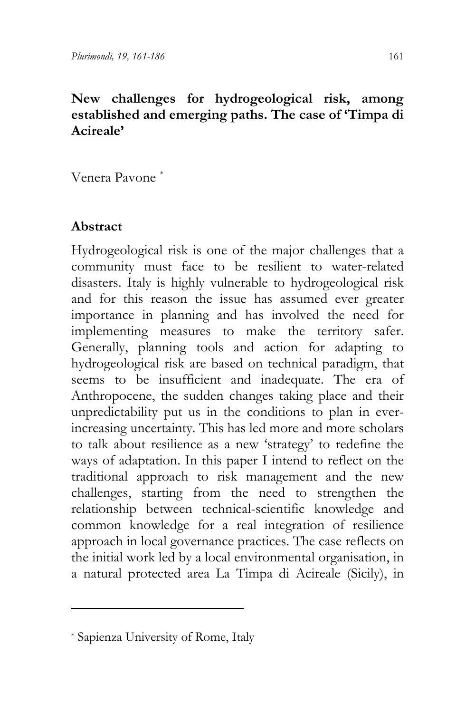## **New challenges for hydrogeological risk, among established and emerging paths. The case of 'Timpa di Acireale'**

Venera Pavone [\\*](#page-12-0)

## **Abstract**

Hydrogeological risk is one of the major challenges that a community must face to be resilient to water-related disasters. Italy is highly vulnerable to hydrogeological risk and for this reason the issue has assumed ever greater importance in planning and has involved the need for implementing measures to make the territory safer. Generally, planning tools and action for adapting to hydrogeological risk are based on technical paradigm, that seems to be insufficient and inadequate. The era of Anthropocene, the sudden changes taking place and their unpredictability put us in the conditions to plan in everincreasing uncertainty. This has led more and more scholars to talk about resilience as a new 'strategy' to redefine the ways of adaptation. In this paper I intend to reflect on the traditional approach to risk management and the new challenges, starting from the need to strengthen the relationship between technical-scientific knowledge and common knowledge for a real integration of resilience approach in local governance practices. The case reflects on the initial work led by a local environmental organisation, in a natural protected area La Timpa di Acireale (Sicily), in

<sup>\*</sup> Sapienza University of Rome, Italy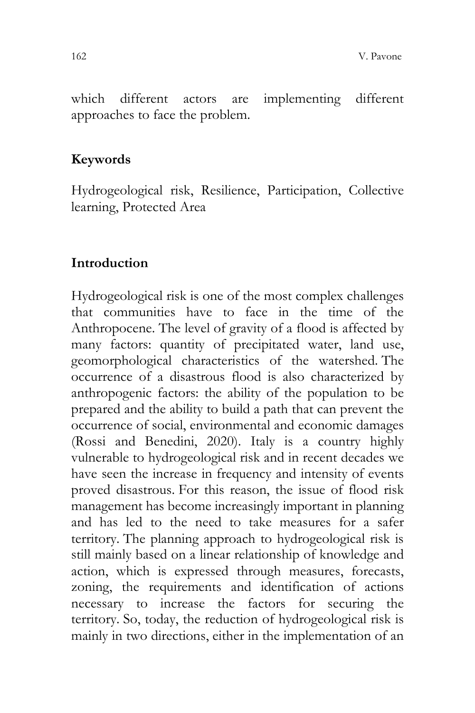which different actors are implementing different approaches to face the problem.

#### **Keywords**

Hydrogeological risk, Resilience, Participation, Collective learning, Protected Area

#### **Introduction**

Hydrogeological risk is one of the most complex challenges that communities have to face in the time of the Anthropocene. The level of gravity of a flood is affected by many factors: quantity of precipitated water, land use, geomorphological characteristics of the watershed. The occurrence of a disastrous flood is also characterized by anthropogenic factors: the ability of the population to be prepared and the ability to build a path that can prevent the occurrence of social, environmental and economic damages (Rossi and Benedini, 2020). Italy is a country highly vulnerable to hydrogeological risk and in recent decades we have seen the increase in frequency and intensity of events proved disastrous. For this reason, the issue of flood risk management has become increasingly important in planning and has led to the need to take measures for a safer territory. The planning approach to hydrogeological risk is still mainly based on a linear relationship of knowledge and action, which is expressed through measures, forecasts, zoning, the requirements and identification of actions necessary to increase the factors for securing the territory. So, today, the reduction of hydrogeological risk is mainly in two directions, either in the implementation of an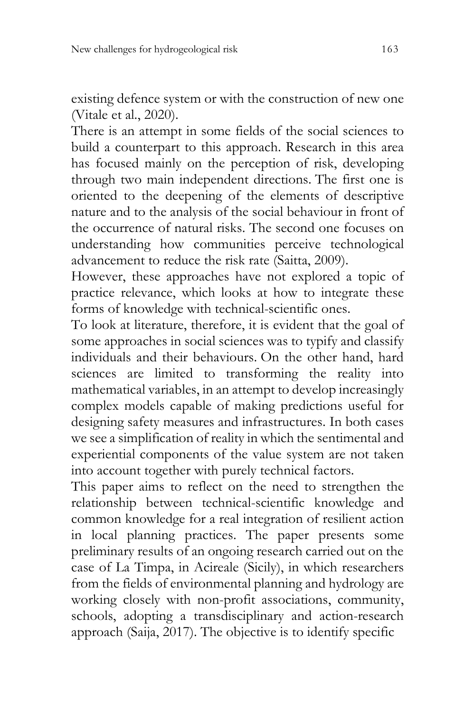existing defence system or with the construction of new one (Vitale et al., 2020).

There is an attempt in some fields of the social sciences to build a counterpart to this approach. Research in this area has focused mainly on the perception of risk, developing through two main independent directions. The first one is oriented to the deepening of the elements of descriptive nature and to the analysis of the social behaviour in front of the occurrence of natural risks. The second one focuses on understanding how communities perceive technological advancement to reduce the risk rate (Saitta, 2009).

However, these approaches have not explored a topic of practice relevance, which looks at how to integrate these forms of knowledge with technical-scientific ones.

To look at literature, therefore, it is evident that the goal of some approaches in social sciences was to typify and classify individuals and their behaviours. On the other hand, hard sciences are limited to transforming the reality into mathematical variables, in an attempt to develop increasingly complex models capable of making predictions useful for designing safety measures and infrastructures. In both cases we see a simplification of reality in which the sentimental and experiential components of the value system are not taken into account together with purely technical factors.

This paper aims to reflect on the need to strengthen the relationship between technical-scientific knowledge and common knowledge for a real integration of resilient action in local planning practices. The paper presents some preliminary results of an ongoing research carried out on the case of La Timpa, in Acireale (Sicily), in which researchers from the fields of environmental planning and hydrology are working closely with non-profit associations, community, schools, adopting a transdisciplinary and action-research approach (Saija, 2017). The objective is to identify specific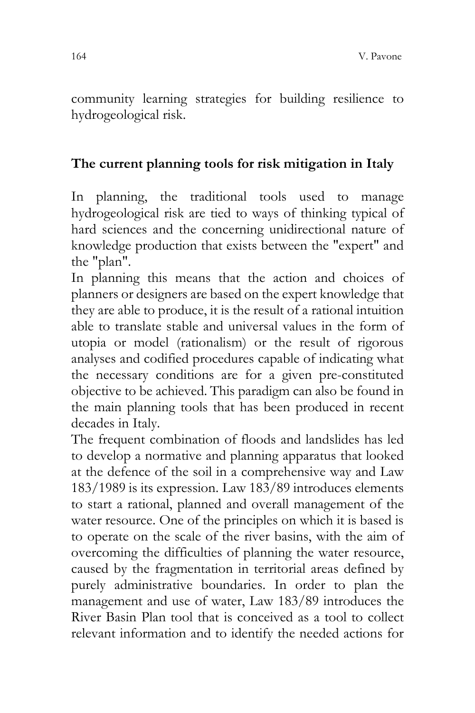community learning strategies for building resilience to hydrogeological risk.

# **The current planning tools for risk mitigation in Italy**

In planning, the traditional tools used to manage hydrogeological risk are tied to ways of thinking typical of hard sciences and the concerning unidirectional nature of knowledge production that exists between the "expert" and the "plan".

In planning this means that the action and choices of planners or designers are based on the expert knowledge that they are able to produce, it is the result of a rational intuition able to translate stable and universal values in the form of utopia or model (rationalism) or the result of rigorous analyses and codified procedures capable of indicating what the necessary conditions are for a given pre-constituted objective to be achieved. This paradigm can also be found in the main planning tools that has been produced in recent decades in Italy.

The frequent combination of floods and landslides has led to develop a normative and planning apparatus that looked at the defence of the soil in a comprehensive way and Law 183/1989 is its expression. Law 183/89 introduces elements to start a rational, planned and overall management of the water resource. One of the principles on which it is based is to operate on the scale of the river basins, with the aim of overcoming the difficulties of planning the water resource, caused by the fragmentation in territorial areas defined by purely administrative boundaries. In order to plan the management and use of water, Law 183/89 introduces the River Basin Plan tool that is conceived as a tool to collect relevant information and to identify the needed actions for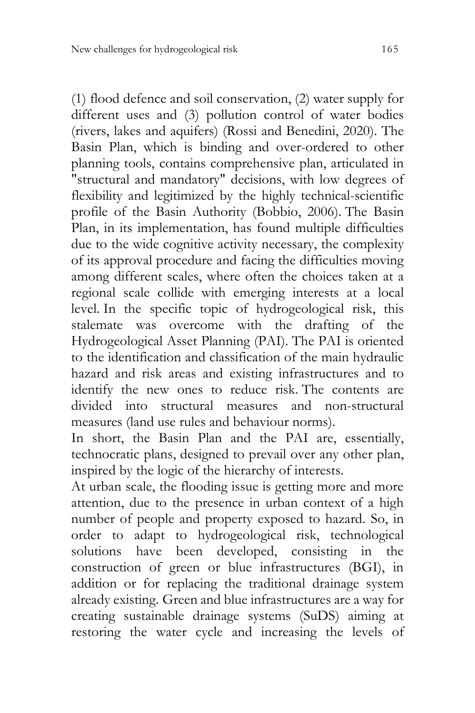(1) flood defence and soil conservation, (2) water supply for different uses and (3) pollution control of water bodies (rivers, lakes and aquifers) (Rossi and Benedini, 2020). The Basin Plan, which is binding and over-ordered to other planning tools, contains comprehensive plan, articulated in "structural and mandatory" decisions, with low degrees of flexibility and legitimized by the highly technical-scientific profile of the Basin Authority (Bobbio, 2006). The Basin Plan, in its implementation, has found multiple difficulties due to the wide cognitive activity necessary, the complexity of its approval procedure and facing the difficulties moving among different scales, where often the choices taken at a regional scale collide with emerging interests at a local level. In the specific topic of hydrogeological risk, this stalemate was overcome with the drafting of the Hydrogeological Asset Planning (PAI). The PAI is oriented to the identification and classification of the main hydraulic hazard and risk areas and existing infrastructures and to identify the new ones to reduce risk. The contents are divided into structural measures and non-structural measures (land use rules and behaviour norms).

In short, the Basin Plan and the PAI are, essentially, technocratic plans, designed to prevail over any other plan, inspired by the logic of the hierarchy of interests.

At urban scale, the flooding issue is getting more and more attention, due to the presence in urban context of a high number of people and property exposed to hazard. So, in order to adapt to hydrogeological risk, technological solutions have been developed, consisting in the construction of green or blue infrastructures (BGI), in addition or for replacing the traditional drainage system already existing. Green and blue infrastructures are a way for creating sustainable drainage systems (SuDS) aiming at restoring the water cycle and increasing the levels of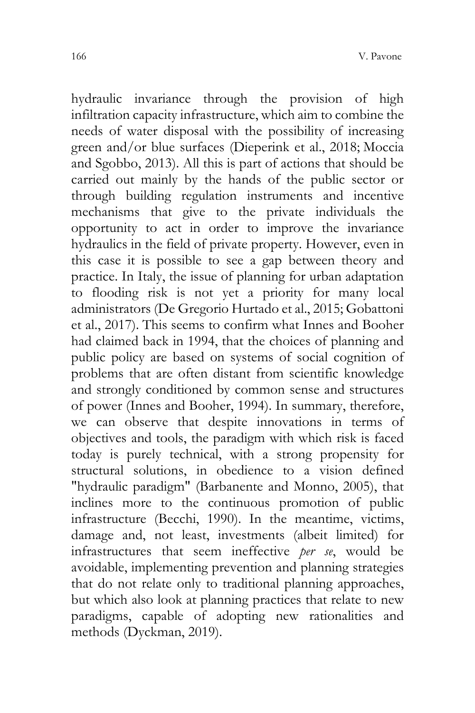hydraulic invariance through the provision of high infiltration capacity infrastructure, which aim to combine the needs of water disposal with the possibility of increasing green and/or blue surfaces (Dieperink et al., 2018; Moccia and Sgobbo, 2013). All this is part of actions that should be carried out mainly by the hands of the public sector or through building regulation instruments and incentive mechanisms that give to the private individuals the opportunity to act in order to improve the invariance hydraulics in the field of private property. However, even in this case it is possible to see a gap between theory and practice. In Italy, the issue of planning for urban adaptation to flooding risk is not yet a priority for many local administrators (De Gregorio Hurtado et al., 2015; Gobattoni et al., 2017). This seems to confirm what Innes and Booher had claimed back in 1994, that the choices of planning and public policy are based on systems of social cognition of problems that are often distant from scientific knowledge and strongly conditioned by common sense and structures of power (Innes and Booher, 1994). In summary, therefore, we can observe that despite innovations in terms of objectives and tools, the paradigm with which risk is faced today is purely technical, with a strong propensity for structural solutions, in obedience to a vision defined "hydraulic paradigm" (Barbanente and Monno, 2005), that inclines more to the continuous promotion of public infrastructure (Becchi, 1990). In the meantime, victims, damage and, not least, investments (albeit limited) for infrastructures that seem ineffective *per se*, would be avoidable, implementing prevention and planning strategies that do not relate only to traditional planning approaches, but which also look at planning practices that relate to new paradigms, capable of adopting new rationalities and methods (Dyckman, 2019).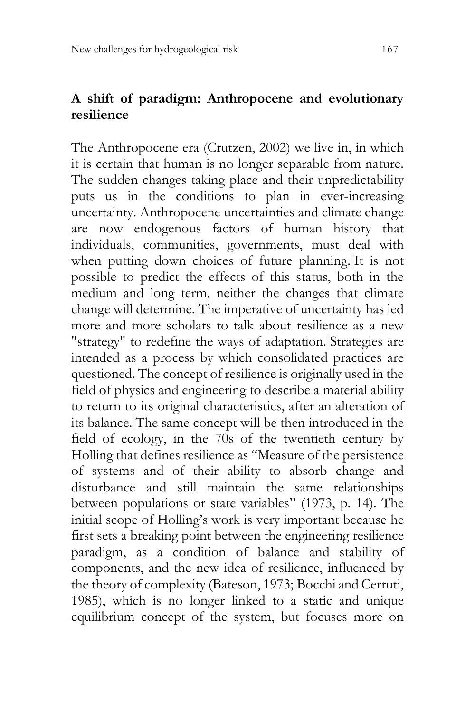### **A shift of paradigm: Anthropocene and evolutionary resilience**

The Anthropocene era (Crutzen, 2002) we live in, in which it is certain that human is no longer separable from nature. The sudden changes taking place and their unpredictability puts us in the conditions to plan in ever-increasing uncertainty. Anthropocene uncertainties and climate change are now endogenous factors of human history that individuals, communities, governments, must deal with when putting down choices of future planning. It is not possible to predict the effects of this status, both in the medium and long term, neither the changes that climate change will determine. The imperative of uncertainty has led more and more scholars to talk about resilience as a new "strategy" to redefine the ways of adaptation. Strategies are intended as a process by which consolidated practices are questioned. The concept of resilience is originally used in the field of physics and engineering to describe a material ability to return to its original characteristics, after an alteration of its balance. The same concept will be then introduced in the field of ecology, in the 70s of the twentieth century by Holling that defines resilience as "Measure of the persistence of systems and of their ability to absorb change and disturbance and still maintain the same relationships between populations or state variables" (1973, p. 14). The initial scope of Holling's work is very important because he first sets a breaking point between the engineering resilience paradigm, as a condition of balance and stability of components, and the new idea of resilience, influenced by the theory of complexity (Bateson, 1973; Bocchi and Cerruti, 1985), which is no longer linked to a static and unique equilibrium concept of the system, but focuses more on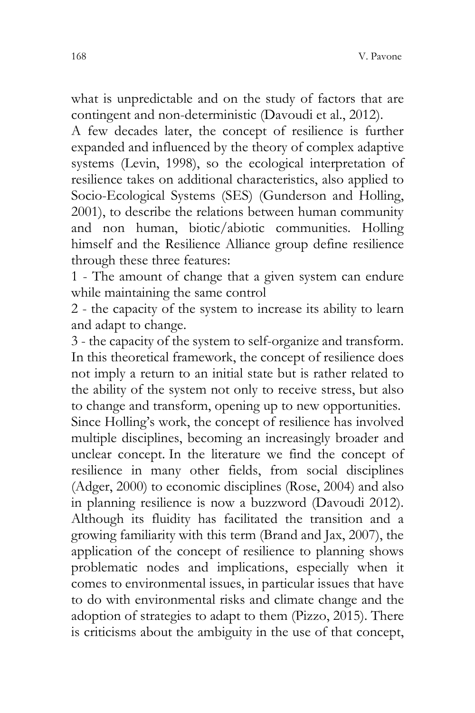what is unpredictable and on the study of factors that are contingent and non-deterministic (Davoudi et al., 2012).

A few decades later, the concept of resilience is further expanded and influenced by the theory of complex adaptive systems (Levin, 1998), so the ecological interpretation of resilience takes on additional characteristics, also applied to Socio-Ecological Systems (SES) (Gunderson and Holling, 2001), to describe the relations between human community and non human, biotic/abiotic communities. Holling himself and the Resilience Alliance group define resilience through these three features:

1 - The amount of change that a given system can endure while maintaining the same control

2 - the capacity of the system to increase its ability to learn and adapt to change.

3 - the capacity of the system to self-organize and transform. In this theoretical framework, the concept of resilience does not imply a return to an initial state but is rather related to the ability of the system not only to receive stress, but also to change and transform, opening up to new opportunities.

Since Holling's work, the concept of resilience has involved multiple disciplines, becoming an increasingly broader and unclear concept. In the literature we find the concept of resilience in many other fields, from social disciplines (Adger, 2000) to economic disciplines (Rose, 2004) and also in planning resilience is now a buzzword (Davoudi 2012). Although its fluidity has facilitated the transition and a growing familiarity with this term (Brand and Jax, 2007), the application of the concept of resilience to planning shows problematic nodes and implications, especially when it comes to environmental issues, in particular issues that have to do with environmental risks and climate change and the adoption of strategies to adapt to them (Pizzo, 2015). There is criticisms about the ambiguity in the use of that concept,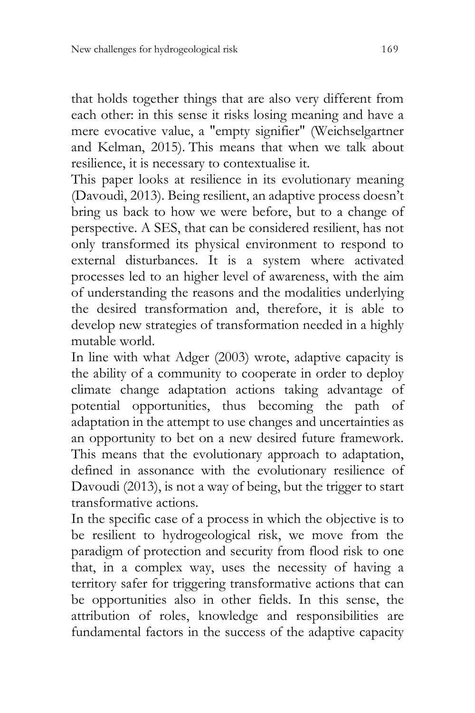that holds together things that are also very different from each other: in this sense it risks losing meaning and have a mere evocative value, a "empty signifier" (Weichselgartner and Kelman, 2015). This means that when we talk about resilience, it is necessary to contextualise it.

This paper looks at resilience in its evolutionary meaning (Davoudì, 2013). Being resilient, an adaptive process doesn't bring us back to how we were before, but to a change of perspective. A SES, that can be considered resilient, has not only transformed its physical environment to respond to external disturbances. It is a system where activated processes led to an higher level of awareness, with the aim of understanding the reasons and the modalities underlying the desired transformation and, therefore, it is able to develop new strategies of transformation needed in a highly mutable world.

In line with what Adger (2003) wrote, adaptive capacity is the ability of a community to cooperate in order to deploy climate change adaptation actions taking advantage of potential opportunities, thus becoming the path of adaptation in the attempt to use changes and uncertainties as an opportunity to bet on a new desired future framework. This means that the evolutionary approach to adaptation, defined in assonance with the evolutionary resilience of Davoudi (2013), is not a way of being, but the trigger to start transformative actions.

In the specific case of a process in which the objective is to be resilient to hydrogeological risk, we move from the paradigm of protection and security from flood risk to one that, in a complex way, uses the necessity of having a territory safer for triggering transformative actions that can be opportunities also in other fields. In this sense, the attribution of roles, knowledge and responsibilities are fundamental factors in the success of the adaptive capacity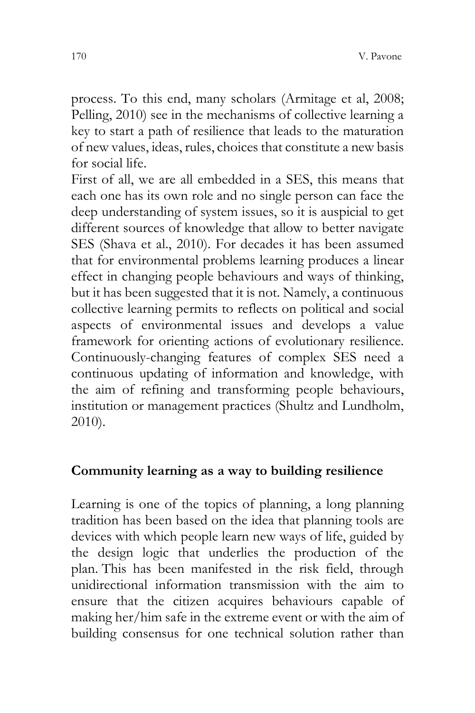process. To this end, many scholars (Armitage et al, 2008; Pelling, 2010) see in the mechanisms of collective learning a key to start a path of resilience that leads to the maturation of new values, ideas, rules, choices that constitute a new basis for social life.

First of all, we are all embedded in a SES, this means that each one has its own role and no single person can face the deep understanding of system issues, so it is auspicial to get different sources of knowledge that allow to better navigate SES (Shava et al., 2010). For decades it has been assumed that for environmental problems learning produces a linear effect in changing people behaviours and ways of thinking, but it has been suggested that it is not. Namely, a continuous collective learning permits to reflects on political and social aspects of environmental issues and develops a value framework for orienting actions of evolutionary resilience. Continuously-changing features of complex SES need a continuous updating of information and knowledge, with the aim of refining and transforming people behaviours, institution or management practices (Shultz and Lundholm, 2010).

#### **Community learning as a way to building resilience**

Learning is one of the topics of planning, a long planning tradition has been based on the idea that planning tools are devices with which people learn new ways of life, guided by the design logic that underlies the production of the plan. This has been manifested in the risk field, through unidirectional information transmission with the aim to ensure that the citizen acquires behaviours capable of making her/him safe in the extreme event or with the aim of building consensus for one technical solution rather than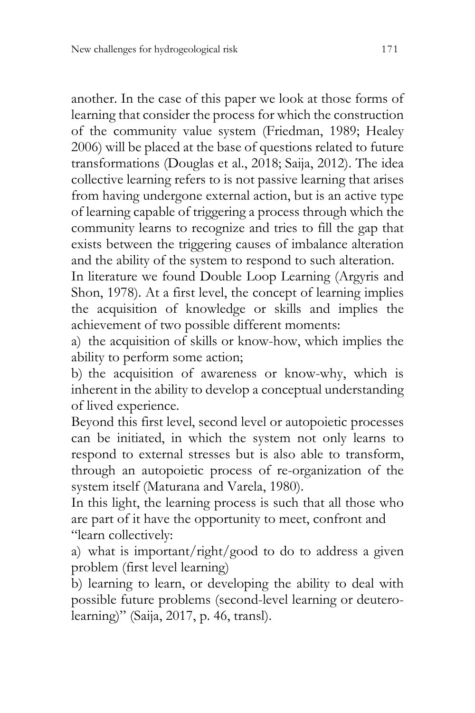another. In the case of this paper we look at those forms of learning that consider the process for which the construction of the community value system (Friedman, 1989; Healey 2006) will be placed at the base of questions related to future transformations (Douglas et al., 2018; Saija, 2012). The idea collective learning refers to is not passive learning that arises from having undergone external action, but is an active type of learning capable of triggering a process through which the community learns to recognize and tries to fill the gap that exists between the triggering causes of imbalance alteration and the ability of the system to respond to such alteration.

In literature we found Double Loop Learning (Argyris and Shon, 1978). At a first level, the concept of learning implies the acquisition of knowledge or skills and implies the achievement of two possible different moments:

a) the acquisition of skills or know-how, which implies the ability to perform some action;

b) the acquisition of awareness or know-why, which is inherent in the ability to develop a conceptual understanding of lived experience.

Beyond this first level, second level or autopoietic processes can be initiated, in which the system not only learns to respond to external stresses but is also able to transform, through an autopoietic process of re-organization of the system itself (Maturana and Varela, 1980).

In this light, the learning process is such that all those who are part of it have the opportunity to meet, confront and "learn collectively:

a) what is important/right/good to do to address a given problem (first level learning)

b) learning to learn, or developing the ability to deal with possible future problems (second-level learning or deuterolearning)" (Saija, 2017, p. 46, transl).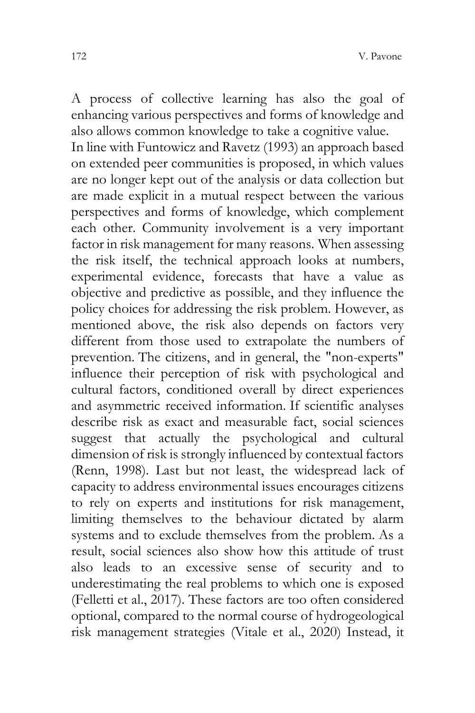A process of collective learning has also the goal of enhancing various perspectives and forms of knowledge and also allows common knowledge to take a cognitive value. In line with Funtowicz and Ravetz (1993) an approach based on extended peer communities is proposed, in which values are no longer kept out of the analysis or data collection but are made explicit in a mutual respect between the various perspectives and forms of knowledge, which complement each other. Community involvement is a very important factor in risk management for many reasons. When assessing the risk itself, the technical approach looks at numbers, experimental evidence, forecasts that have a value as objective and predictive as possible, and they influence the policy choices for addressing the risk problem. However, as mentioned above, the risk also depends on factors very different from those used to extrapolate the numbers of prevention. The citizens, and in general, the "non-experts" influence their perception of risk with psychological and cultural factors, conditioned overall by direct experiences and asymmetric received information. If scientific analyses describe risk as exact and measurable fact, social sciences suggest that actually the psychological and cultural dimension of risk is strongly influenced by contextual factors (Renn, 1998). Last but not least, the widespread lack of capacity to address environmental issues encourages citizens to rely on experts and institutions for risk management, limiting themselves to the behaviour dictated by alarm systems and to exclude themselves from the problem. As a result, social sciences also show how this attitude of trust also leads to an excessive sense of security and to underestimating the real problems to which one is exposed (Felletti et al., 2017). These factors are too often considered optional, compared to the normal course of hydrogeological risk management strategies (Vitale et al., 2020) Instead, it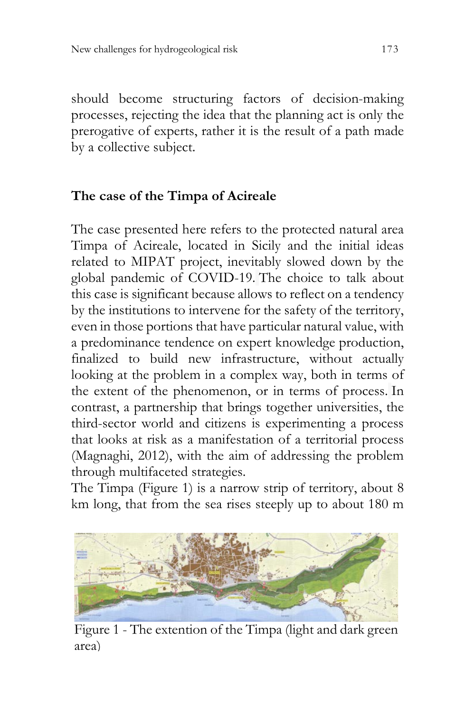should become structuring factors of decision-making processes, rejecting the idea that the planning act is only the prerogative of experts, rather it is the result of a path made by a collective subject.

## **The case of the Timpa of Acireale**

The case presented here refers to the protected natural area Timpa of Acireale, located in Sicily and the initial ideas related to MIPAT project, inevitably slowed down by the global pandemic of COVID-19. The choice to talk about this case is significant because allows to reflect on a tendency by the institutions to intervene for the safety of the territory, even in those portions that have particular natural value, with a predominance tendence on expert knowledge production, finalized to build new infrastructure, without actually looking at the problem in a complex way, both in terms of the extent of the phenomenon, or in terms of process. In contrast, a partnership that brings together universities, the third-sector world and citizens is experimenting a process that looks at risk as a manifestation of a territorial process (Magnaghi, 2012), with the aim of addressing the problem through multifaceted strategies.

The Timpa (Figure 1) is a narrow strip of territory, about 8 km long, that from the sea rises steeply up to about 180 m

<span id="page-12-0"></span>

Figure 1 - The extention of the Timpa (light and dark green area)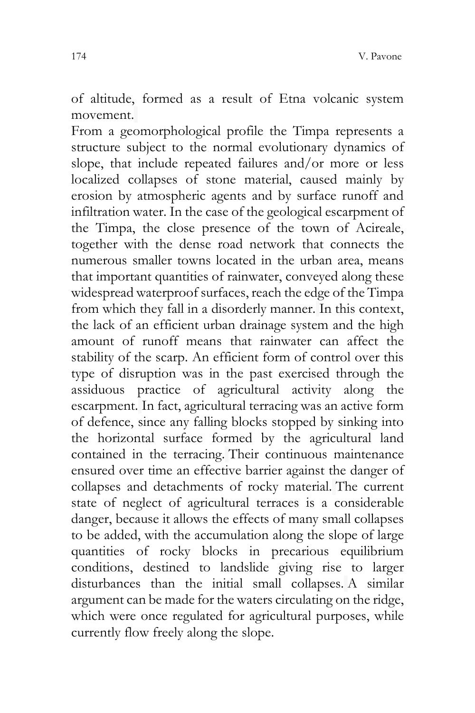of altitude, formed as a result of Etna volcanic system movement.

From a geomorphological profile the Timpa represents a structure subject to the normal evolutionary dynamics of slope, that include repeated failures and/or more or less localized collapses of stone material, caused mainly by erosion by atmospheric agents and by surface runoff and infiltration water. In the case of the geological escarpment of the Timpa, the close presence of the town of Acireale, together with the dense road network that connects the numerous smaller towns located in the urban area, means that important quantities of rainwater, conveyed along these widespread waterproof surfaces, reach the edge of the Timpa from which they fall in a disorderly manner. In this context, the lack of an efficient urban drainage system and the high amount of runoff means that rainwater can affect the stability of the scarp. An efficient form of control over this type of disruption was in the past exercised through the assiduous practice of agricultural activity along the escarpment. In fact, agricultural terracing was an active form of defence, since any falling blocks stopped by sinking into the horizontal surface formed by the agricultural land contained in the terracing. Their continuous maintenance ensured over time an effective barrier against the danger of collapses and detachments of rocky material. The current state of neglect of agricultural terraces is a considerable danger, because it allows the effects of many small collapses to be added, with the accumulation along the slope of large quantities of rocky blocks in precarious equilibrium conditions, destined to landslide giving rise to larger disturbances than the initial small collapses. A similar argument can be made for the waters circulating on the ridge, which were once regulated for agricultural purposes, while currently flow freely along the slope.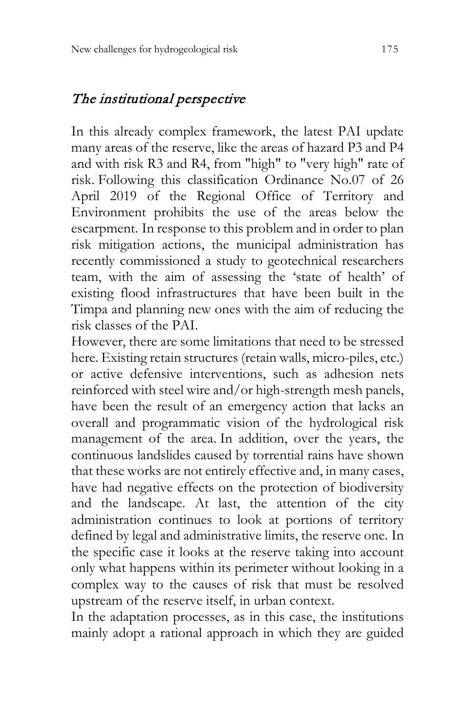## The institutional perspective

In this already complex framework, the latest PAI update many areas of the reserve, like the areas of hazard P3 and P4 and with risk R3 and R4, from "high" to "very high" rate of risk. Following this classification Ordinance No.07 of 26 April 2019 of the Regional Office of Territory and Environment prohibits the use of the areas below the escarpment. In response to this problem and in order to plan risk mitigation actions, the municipal administration has recently commissioned a study to geotechnical researchers team, with the aim of assessing the 'state of health' of existing flood infrastructures that have been built in the Timpa and planning new ones with the aim of reducing the risk classes of the PAI.

However, there are some limitations that need to be stressed here. Existing retain structures (retain walls, micro-piles, etc.) or active defensive interventions, such as adhesion nets reinforced with steel wire and/or high-strength mesh panels, have been the result of an emergency action that lacks an overall and programmatic vision of the hydrological risk management of the area. In addition, over the years, the continuous landslides caused by torrential rains have shown that these works are not entirely effective and, in many cases, have had negative effects on the protection of biodiversity and the landscape. At last, the attention of the city administration continues to look at portions of territory defined by legal and administrative limits, the reserve one. In the specific case it looks at the reserve taking into account only what happens within its perimeter without looking in a complex way to the causes of risk that must be resolved upstream of the reserve itself, in urban context.

In the adaptation processes, as in this case, the institutions mainly adopt a rational approach in which they are guided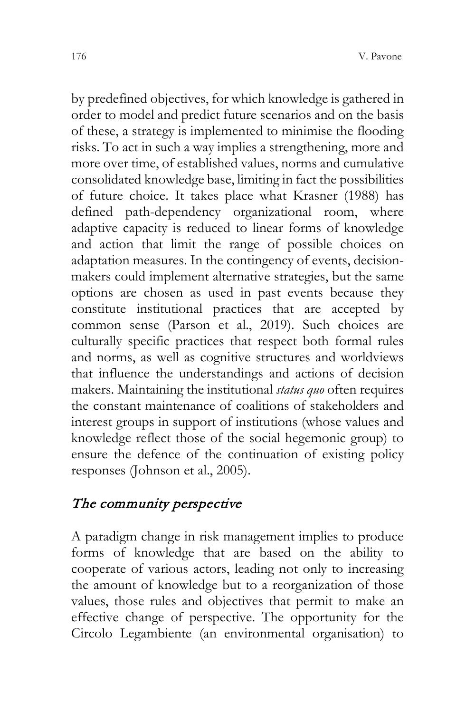by predefined objectives, for which knowledge is gathered in order to model and predict future scenarios and on the basis of these, a strategy is implemented to minimise the flooding risks. To act in such a way implies a strengthening, more and more over time, of established values, norms and cumulative consolidated knowledge base, limiting in fact the possibilities of future choice. It takes place what Krasner (1988) has defined path-dependency organizational room, where adaptive capacity is reduced to linear forms of knowledge and action that limit the range of possible choices on adaptation measures. In the contingency of events, decisionmakers could implement alternative strategies, but the same options are chosen as used in past events because they constitute institutional practices that are accepted by common sense (Parson et al., 2019). Such choices are culturally specific practices that respect both formal rules and norms, as well as cognitive structures and worldviews that influence the understandings and actions of decision makers. Maintaining the institutional *status quo* often requires the constant maintenance of coalitions of stakeholders and interest groups in support of institutions (whose values and knowledge reflect those of the social hegemonic group) to ensure the defence of the continuation of existing policy responses (Johnson et al., 2005).

# The community perspective

A paradigm change in risk management implies to produce forms of knowledge that are based on the ability to cooperate of various actors, leading not only to increasing the amount of knowledge but to a reorganization of those values, those rules and objectives that permit to make an effective change of perspective. The opportunity for the Circolo Legambiente (an environmental organisation) to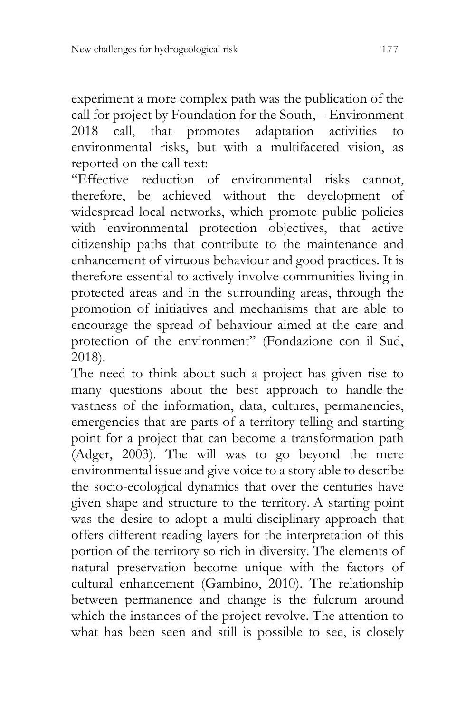experiment a more complex path was the publication of the call for project by Foundation for the South, – Environment 2018 call, that promotes adaptation activities to environmental risks, but with a multifaceted vision, as reported on the call text:

"Effective reduction of environmental risks cannot, therefore, be achieved without the development of widespread local networks, which promote public policies with environmental protection objectives, that active citizenship paths that contribute to the maintenance and enhancement of virtuous behaviour and good practices. It is therefore essential to actively involve communities living in protected areas and in the surrounding areas, through the promotion of initiatives and mechanisms that are able to encourage the spread of behaviour aimed at the care and protection of the environment" (Fondazione con il Sud, 2018).

The need to think about such a project has given rise to many questions about the best approach to handle the vastness of the information, data, cultures, permanencies, emergencies that are parts of a territory telling and starting point for a project that can become a transformation path (Adger, 2003). The will was to go beyond the mere environmental issue and give voice to a story able to describe the socio-ecological dynamics that over the centuries have given shape and structure to the territory. A starting point was the desire to adopt a multi-disciplinary approach that offers different reading layers for the interpretation of this portion of the territory so rich in diversity. The elements of natural preservation become unique with the factors of cultural enhancement (Gambino, 2010). The relationship between permanence and change is the fulcrum around which the instances of the project revolve. The attention to what has been seen and still is possible to see, is closely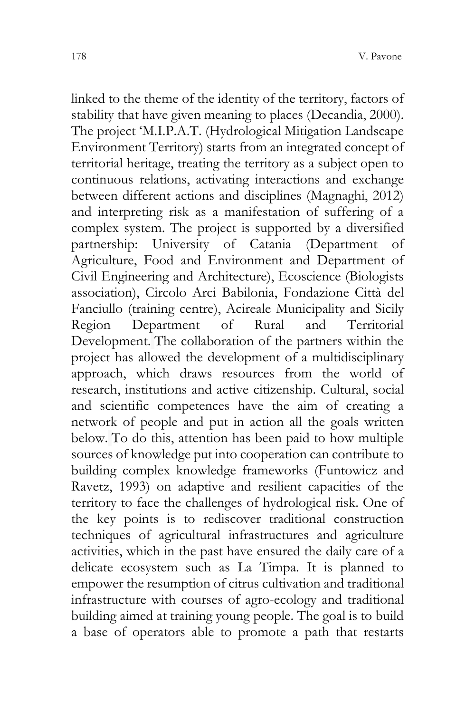linked to the theme of the identity of the territory, factors of stability that have given meaning to places (Decandia, 2000). The project 'M.I.P.A.T. (Hydrological Mitigation Landscape Environment Territory) starts from an integrated concept of territorial heritage, treating the territory as a subject open to continuous relations, activating interactions and exchange between different actions and disciplines (Magnaghi, 2012) and interpreting risk as a manifestation of suffering of a complex system. The project is supported by a diversified partnership: University of Catania (Department of Agriculture, Food and Environment and Department of Civil Engineering and Architecture), Ecoscience (Biologists association), Circolo Arci Babilonia, Fondazione Città del Fanciullo (training centre), Acireale Municipality and Sicily Region Department of Rural and Territorial Development. The collaboration of the partners within the project has allowed the development of a multidisciplinary approach, which draws resources from the world of research, institutions and active citizenship. Cultural, social and scientific competences have the aim of creating a network of people and put in action all the goals written below. To do this, attention has been paid to how multiple sources of knowledge put into cooperation can contribute to building complex knowledge frameworks (Funtowicz and Ravetz, 1993) on adaptive and resilient capacities of the territory to face the challenges of hydrological risk. One of the key points is to rediscover traditional construction techniques of agricultural infrastructures and agriculture activities, which in the past have ensured the daily care of a delicate ecosystem such as La Timpa. It is planned to empower the resumption of citrus cultivation and traditional infrastructure with courses of agro-ecology and traditional building aimed at training young people. The goal is to build a base of operators able to promote a path that restarts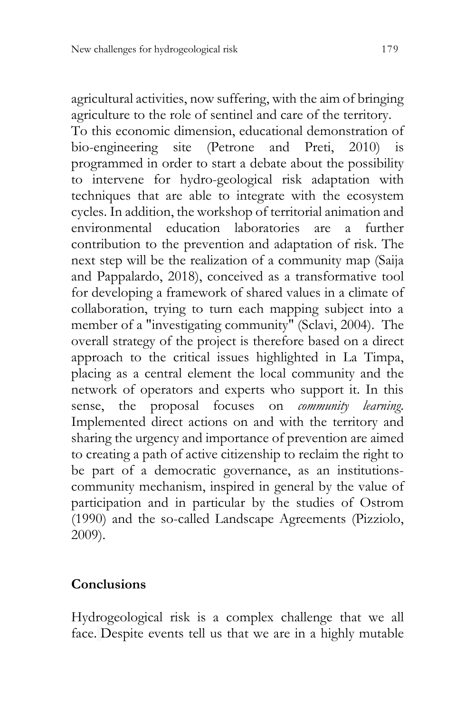agricultural activities, now suffering, with the aim of bringing agriculture to the role of sentinel and care of the territory. To this economic dimension, educational demonstration of<br>bio-engineering site (Petrone and Preti. 2010) is bio-engineering site (Petrone and Preti, programmed in order to start a debate about the possibility to intervene for hydro-geological risk adaptation with techniques that are able to integrate with the ecosystem cycles. In addition, the workshop of territorial animation and environmental education laboratories are a further contribution to the prevention and adaptation of risk. The next step will be the realization of a community map (Saija and Pappalardo, 2018), conceived as a transformative tool for developing a framework of shared values in a climate of collaboration, trying to turn each mapping subject into a member of a "investigating community" (Sclavi, 2004). The overall strategy of the project is therefore based on a direct approach to the critical issues highlighted in La Timpa, placing as a central element the local community and the network of operators and experts who support it. In this sense, the proposal focuses on *community learning*. Implemented direct actions on and with the territory and sharing the urgency and importance of prevention are aimed to creating a path of active citizenship to reclaim the right to be part of a democratic governance, as an institutionscommunity mechanism, inspired in general by the value of participation and in particular by the studies of Ostrom (1990) and the so-called Landscape Agreements (Pizziolo, 2009).

### **Conclusions**

Hydrogeological risk is a complex challenge that we all face. Despite events tell us that we are in a highly mutable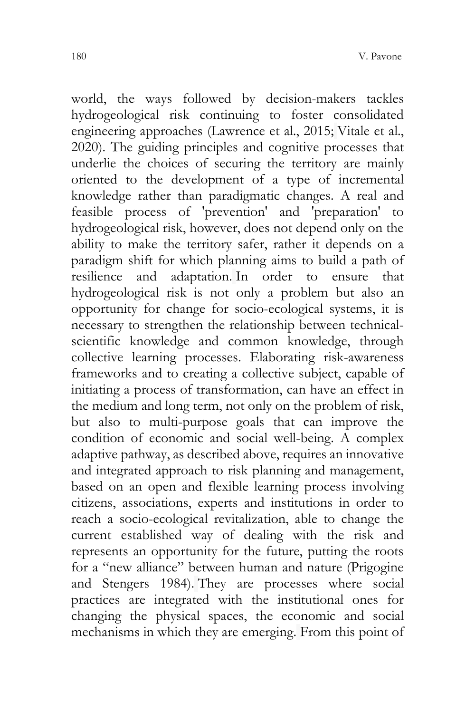world, the ways followed by decision-makers tackles hydrogeological risk continuing to foster consolidated engineering approaches (Lawrence et al., 2015; Vitale et al., 2020). The guiding principles and cognitive processes that underlie the choices of securing the territory are mainly oriented to the development of a type of incremental knowledge rather than paradigmatic changes. A real and feasible process of 'prevention' and 'preparation' to hydrogeological risk, however, does not depend only on the ability to make the territory safer, rather it depends on a paradigm shift for which planning aims to build a path of resilience and adaptation. In order to ensure that hydrogeological risk is not only a problem but also an opportunity for change for socio-ecological systems, it is necessary to strengthen the relationship between technicalscientific knowledge and common knowledge, through collective learning processes. Elaborating risk-awareness frameworks and to creating a collective subject, capable of initiating a process of transformation, can have an effect in the medium and long term, not only on the problem of risk, but also to multi-purpose goals that can improve the condition of economic and social well-being. A complex adaptive pathway, as described above, requires an innovative and integrated approach to risk planning and management, based on an open and flexible learning process involving citizens, associations, experts and institutions in order to reach a socio-ecological revitalization, able to change the current established way of dealing with the risk and represents an opportunity for the future, putting the roots for a "new alliance" between human and nature (Prigogine and Stengers 1984). They are processes where social practices are integrated with the institutional ones for changing the physical spaces, the economic and social mechanisms in which they are emerging. From this point of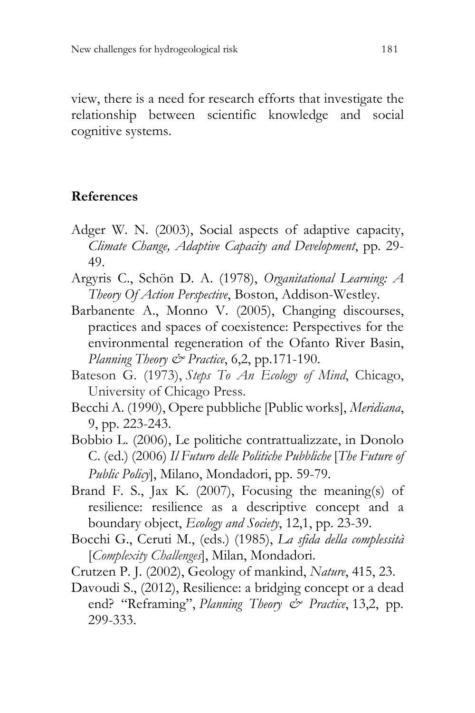view, there is a need for research efforts that investigate the relationship between scientific knowledge and social cognitive systems.

#### **References**

- Adger W. N. (2003), Social aspects of adaptive capacity, *Climate Change, Adaptive Capacity and Development*, pp. 29- 49.
- Argyris C., Schön D. A. (1978), *Organitational Learning: A Theory Of Action Perspective*, Boston, Addison-Westley.
- Barbanente A., Monno V. (2005), Changing discourses, practices and spaces of coexistence: Perspectives for the environmental regeneration of the Ofanto River Basin, *Planning Theory & Practice*, 6,2, pp.171-190.
- Bateson G. (1973), *Steps To An Ecology of Mind*, Chicago, University of Chicago Press.
- Becchi A. (1990), Opere pubbliche [Public works], *Meridiana*, 9, pp. 223-243.
- Bobbio L. (2006), Le politiche contrattualizzate, in Donolo C. (ed.) (2006) *Il Futuro delle Politiche Pubbliche* [*The Future of Public Policy*], Milano, Mondadori, pp. 59-79.
- Brand F. S., Jax K. (2007), Focusing the meaning(s) of resilience: resilience as a descriptive concept and a boundary object, *Ecology and Society*, 12,1, pp. 23-39.
- Bocchi G., Ceruti M., (eds.) (1985), *La sfida della complessità* [*Complexity Challenges*], Milan, Mondadori.
- Crutzen P. J. (2002), Geology of mankind, *Nature*, 415, 23.
- Davoudi S., (2012), Resilience: a bridging concept or a dead end? "Reframing", *Planning Theory & Practice*, 13,2, pp. 299-333.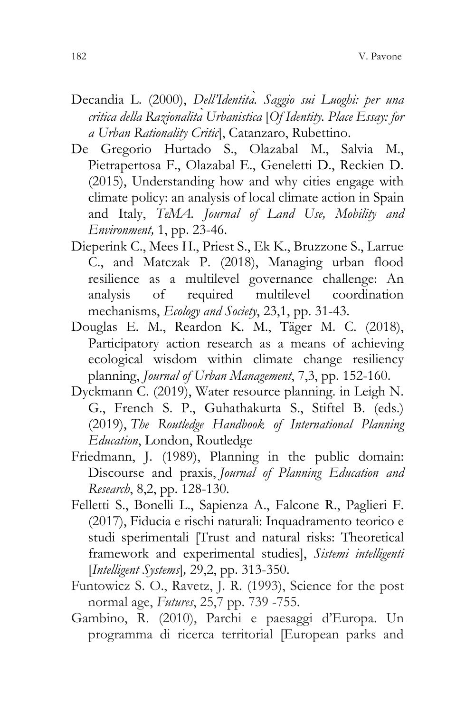- Decandia L. (2000), *Dell'Identità. Saggio sui Luoghi: per una critica della RazionalitàUrbanistica* [*Of Identity. Place Essay: for a Urban Rationality Critic*], Catanzaro, Rubettino.
- De Gregorio Hurtado S., Olazabal M., Salvia M., Pietrapertosa F., Olazabal E., Geneletti D., Reckien D. (2015), Understanding how and why cities engage with climate policy: an analysis of local climate action in Spain and Italy, *TeMA. Journal of Land Use, Mobility and Environment,* 1, pp. 23-46.
- Dieperink C., Mees H., Priest S., Ek K., Bruzzone S., Larrue C., and Matczak P. (2018), Managing urban flood resilience as a multilevel governance challenge: An analysis of required multilevel coordination mechanisms, *Ecology and Society*, 23,1, pp. 31-43.
- Douglas E. M., Reardon K. M., Täger M. C. (2018), Participatory action research as a means of achieving ecological wisdom within climate change resiliency planning, *Journal of Urban Management*, 7,3, pp. 152-160.
- Dyckmann C. (2019), Water resource planning. in Leigh N. G., French S. P., Guhathakurta S., Stiftel B. (eds.) (2019), *The Routledge Handbook of International Planning Education*, London, Routledge
- Friedmann, J. (1989), Planning in the public domain: Discourse and praxis, *Journal of Planning Education and Research*, 8,2, pp. 128-130.
- Felletti S., Bonelli L., Sapienza A., Falcone R., Paglieri F. (2017), Fiducia e rischi naturali: Inquadramento teorico e studi sperimentali [Trust and natural risks: Theoretical framework and experimental studies], *Sistemi intelligenti*  [*Intelligent Systems*]*,* 29,2, pp. 313-350.
- Funtowicz S. O., Ravetz, J. R. (1993), Science for the post normal age, *Futures*, 25,7 pp. 739 -755.
- Gambino, R. (2010), Parchi e paesaggi d'Europa. Un programma di ricerca territorial [European parks and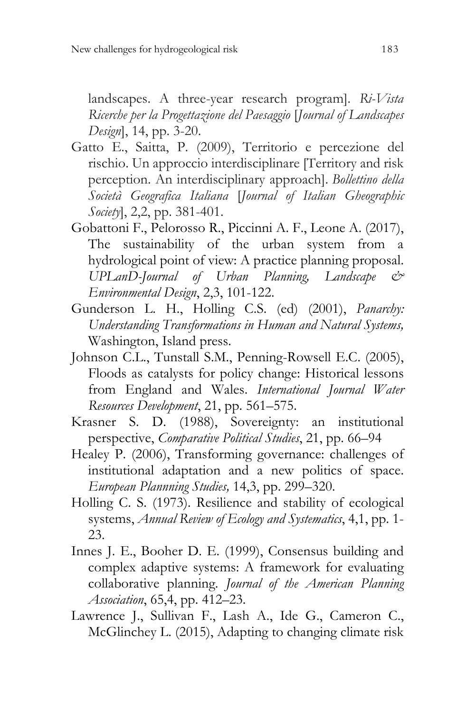landscapes. A three-year research program]. *Ri-Vista Ricerche per la Progettazione del Paesaggio* [*Journal of Landscapes Design*], 14, pp. 3-20.

- Gatto E., Saitta, P. (2009), Territorio e percezione del rischio. Un approccio interdisciplinare [Territory and risk perception. An interdisciplinary approach]. *Bollettino della Società Geografica Italiana* [*Journal of Italian Gheographic Society*], 2,2, pp. 381-401.
- Gobattoni F., Pelorosso R., Piccinni A. F., Leone A. (2017), The sustainability of the urban system from a hydrological point of view: A practice planning proposal. *UPLanD-Journal of Urban Planning, Landscape & Environmental Design*, 2,3, 101-122.
- Gunderson L. H., Holling C.S. (ed) (2001), *Panarchy: Understanding Transformations in Human and Natural Systems,* Washington, Island press.
- Johnson C.L., Tunstall S.M., Penning-Rowsell E.C. (2005), Floods as catalysts for policy change: Historical lessons from England and Wales. *International Journal Water Resources Development*, 21, pp. 561–575.
- Krasner S. D. (1988), Sovereignty: an institutional perspective, *Comparative Political Studies*, 21, pp. 66–94
- Healey P. (2006), Transforming governance: challenges of institutional adaptation and a new politics of space. *European Plannning Studies,* 14,3, pp. 299–320.
- Holling C. S. (1973). Resilience and stability of ecological systems, *Annual Review of Ecology and Systematics*, 4,1, pp. 1- 23.
- Innes J. E., Booher D. E. (1999), Consensus building and complex adaptive systems: A framework for evaluating collaborative planning. *Journal of the American Planning Association*, 65,4, pp. 412–23.
- Lawrence J., Sullivan F., Lash A., Ide G., Cameron C., McGlinchey L. (2015), Adapting to changing climate risk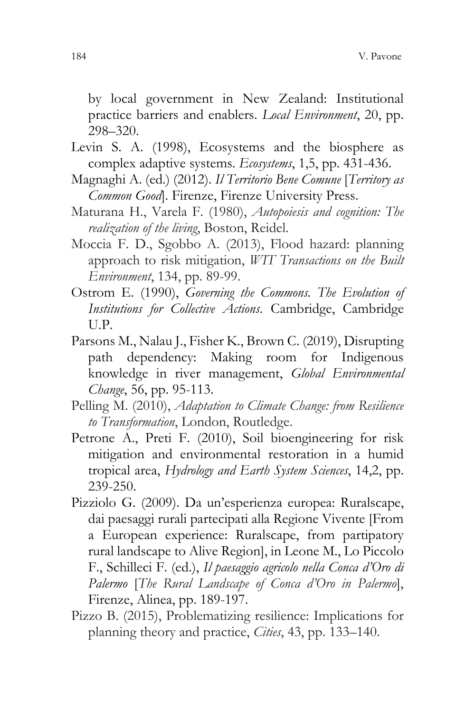by local government in New Zealand: Institutional practice barriers and enablers. *Local Environment*, 20, pp. 298–320.

- Levin S. A. (1998), Ecosystems and the biosphere as complex adaptive systems. *Ecosystems*, 1,5, pp. 431-436.
- Magnaghi A. (ed.) (2012). *Il Territorio Bene Comune* [*Territory as Common Good*]. Firenze, Firenze University Press.
- Maturana H., Varela F. (1980), *Autopoiesis and cognition: The realization of the living*, Boston, Reidel.
- Moccia F. D., Sgobbo A. (2013), Flood hazard: planning approach to risk mitigation, *WIT Transactions on the Built Environment*, 134, pp. 89-99.
- Ostrom E. (1990), *Governing the Commons. The Evolution of Institutions for Collective Actions*. Cambridge, Cambridge U.P.
- Parsons M., Nalau J., Fisher K., Brown C. (2019), Disrupting path dependency: Making room for Indigenous knowledge in river management, *Global Environmental Change*, 56, pp. 95-113.
- Pelling M. (2010), *Adaptation to Climate Change: from Resilience to Transformation*, London, Routledge.
- Petrone A., Preti F. (2010), Soil bioengineering for risk mitigation and environmental restoration in a humid tropical area, *Hydrology and Earth System Sciences*, 14,2, pp. 239-250.
- Pizziolo G. (2009). Da un'esperienza europea: Ruralscape, dai paesaggi rurali partecipati alla Regione Vivente [From a European experience: Ruralscape, from partipatory rural landscape to Alive Region], in Leone M., Lo Piccolo F., Schilleci F. (ed.), *Il paesaggio agricolo nella Conca d'Oro di Palermo* [*The Rural Landscape of Conca d'Oro in Palermo*], Firenze, Alinea, pp. 189-197.
- Pizzo B. (2015), Problematizing resilience: Implications for planning theory and practice, *Cities*, 43, pp. 133–140.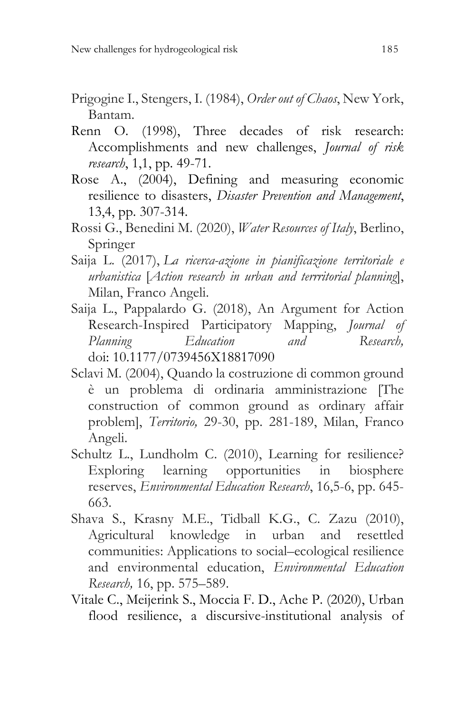- Prigogine I., Stengers, I. (1984), *Order out of Chaos*, New York, Bantam.
- Renn O. (1998), Three decades of risk research: Accomplishments and new challenges, *Journal of risk research*, 1,1, pp. 49-71.
- Rose A., (2004), Defining and measuring economic resilience to disasters, *Disaster Prevention and Management*, 13,4, pp. 307-314.
- Rossi G., Benedini M. (2020), *Water Resources of Italy*, Berlino, Springer
- Saija L. (2017), *La ricerca-azione in pianificazione territoriale e urbanistica* [*Action research in urban and terrritorial planning*], Milan, Franco Angeli.
- Saija L., Pappalardo G. (2018), An Argument for Action Research-Inspired Participatory Mapping, *Journal of Planning Education and Research,*  doi: [10.1177/0739456X18817090](https://doi.org/10.1177/0739456X18817090)
- Sclavi M. (2004), Quando la costruzione di common ground è un problema di ordinaria amministrazione [The construction of common ground as ordinary affair problem], *Territorio,* 29-30, pp. 281-189, Milan, Franco Angeli.
- Schultz L., Lundholm C. (2010), Learning for resilience? Exploring learning opportunities in biosphere reserves, *Environmental Education Research*, 16,5-6, pp. 645- 663.
- Shava S., Krasny M.E., Tidball K.G., C. Zazu (2010), Agricultural knowledge in urban and resettled communities: Applications to social–ecological resilience and environmental education, *Environmental Education Research,* 16, pp. 575–589.
- Vitale C., Meijerink S., Moccia F. D., Ache P. (2020), Urban flood resilience, a discursive-institutional analysis of